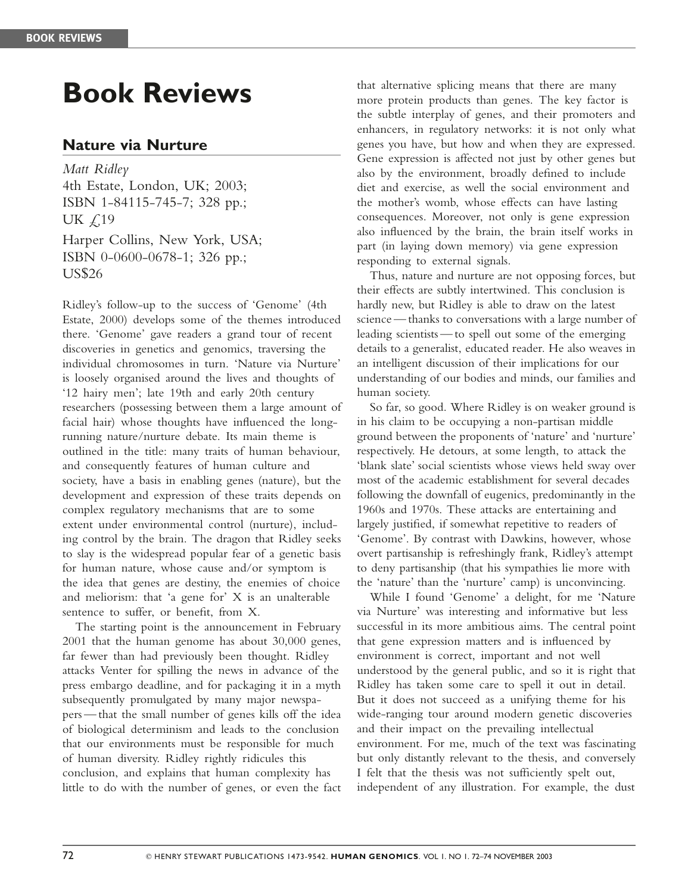## Book Reviews

## Nature via Nurture

Matt Ridley 4th Estate, London, UK; 2003; ISBN 1-84115-745-7; 328 pp.; UK  $\angle$ 19 Harper Collins, New York, USA; ISBN 0-0600-0678-1; 326 pp.; US\$26

Ridley's follow-up to the success of 'Genome' (4th Estate, 2000) develops some of the themes introduced there. 'Genome' gave readers a grand tour of recent discoveries in genetics and genomics, traversing the individual chromosomes in turn. 'Nature via Nurture' is loosely organised around the lives and thoughts of '12 hairy men'; late 19th and early 20th century researchers (possessing between them a large amount of facial hair) whose thoughts have influenced the longrunning nature/nurture debate. Its main theme is outlined in the title: many traits of human behaviour, and consequently features of human culture and society, have a basis in enabling genes (nature), but the development and expression of these traits depends on complex regulatory mechanisms that are to some extent under environmental control (nurture), including control by the brain. The dragon that Ridley seeks to slay is the widespread popular fear of a genetic basis for human nature, whose cause and/or symptom is the idea that genes are destiny, the enemies of choice and meliorism: that 'a gene for' X is an unalterable sentence to suffer, or benefit, from X.

The starting point is the announcement in February 2001 that the human genome has about 30,000 genes, far fewer than had previously been thought. Ridley attacks Venter for spilling the news in advance of the press embargo deadline, and for packaging it in a myth subsequently promulgated by many major newspapers — that the small number of genes kills off the idea of biological determinism and leads to the conclusion that our environments must be responsible for much of human diversity. Ridley rightly ridicules this conclusion, and explains that human complexity has little to do with the number of genes, or even the fact that alternative splicing means that there are many more protein products than genes. The key factor is the subtle interplay of genes, and their promoters and enhancers, in regulatory networks: it is not only what genes you have, but how and when they are expressed. Gene expression is affected not just by other genes but also by the environment, broadly defined to include diet and exercise, as well the social environment and the mother's womb, whose effects can have lasting consequences. Moreover, not only is gene expression also influenced by the brain, the brain itself works in part (in laying down memory) via gene expression responding to external signals.

Thus, nature and nurture are not opposing forces, but their effects are subtly intertwined. This conclusion is hardly new, but Ridley is able to draw on the latest science — thanks to conversations with a large number of leading scientists — to spell out some of the emerging details to a generalist, educated reader. He also weaves in an intelligent discussion of their implications for our understanding of our bodies and minds, our families and human society.

So far, so good. Where Ridley is on weaker ground is in his claim to be occupying a non-partisan middle ground between the proponents of 'nature' and 'nurture' respectively. He detours, at some length, to attack the 'blank slate' social scientists whose views held sway over most of the academic establishment for several decades following the downfall of eugenics, predominantly in the 1960s and 1970s. These attacks are entertaining and largely justified, if somewhat repetitive to readers of 'Genome'. By contrast with Dawkins, however, whose overt partisanship is refreshingly frank, Ridley's attempt to deny partisanship (that his sympathies lie more with the 'nature' than the 'nurture' camp) is unconvincing.

While I found 'Genome' a delight, for me 'Nature via Nurture' was interesting and informative but less successful in its more ambitious aims. The central point that gene expression matters and is influenced by environment is correct, important and not well understood by the general public, and so it is right that Ridley has taken some care to spell it out in detail. But it does not succeed as a unifying theme for his wide-ranging tour around modern genetic discoveries and their impact on the prevailing intellectual environment. For me, much of the text was fascinating but only distantly relevant to the thesis, and conversely I felt that the thesis was not sufficiently spelt out, independent of any illustration. For example, the dust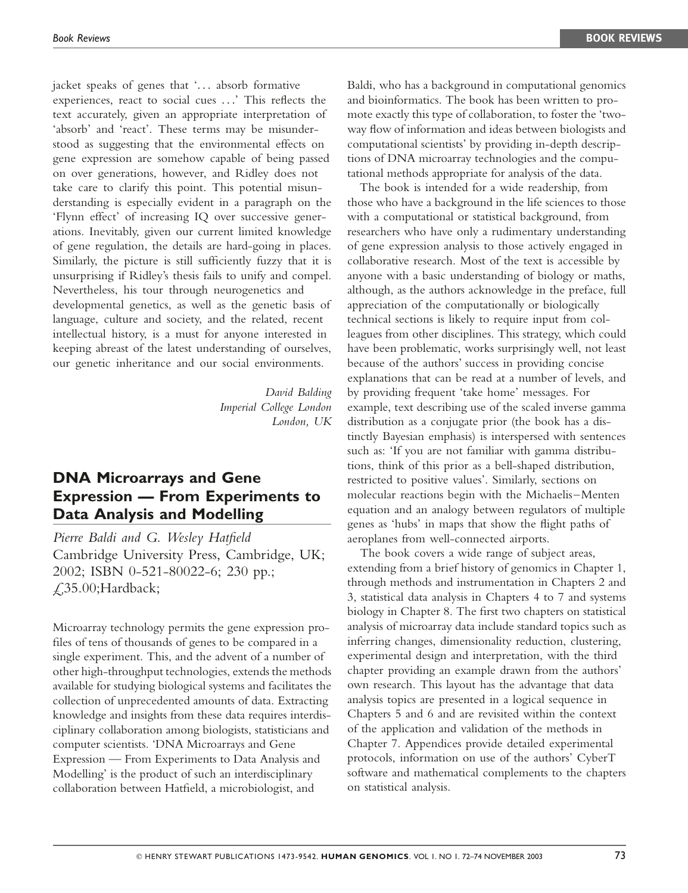jacket speaks of genes that '... absorb formative experiences, react to social cues ...' This reflects the text accurately, given an appropriate interpretation of 'absorb' and 'react'. These terms may be misunderstood as suggesting that the environmental effects on gene expression are somehow capable of being passed on over generations, however, and Ridley does not take care to clarify this point. This potential misunderstanding is especially evident in a paragraph on the 'Flynn effect' of increasing IQ over successive generations. Inevitably, given our current limited knowledge of gene regulation, the details are hard-going in places. Similarly, the picture is still sufficiently fuzzy that it is unsurprising if Ridley's thesis fails to unify and compel. Nevertheless, his tour through neurogenetics and developmental genetics, as well as the genetic basis of language, culture and society, and the related, recent intellectual history, is a must for anyone interested in keeping abreast of the latest understanding of ourselves, our genetic inheritance and our social environments.

> David Balding Imperial College London London, UK

## DNA Microarrays and Gene Expression — From Experiments to Data Analysis and Modelling

Pierre Baldi and G. Wesley Hatfield Cambridge University Press, Cambridge, UK; 2002; ISBN 0-521-80022-6; 230 pp.;  $\angle$ 35.00;Hardback;

Microarray technology permits the gene expression profiles of tens of thousands of genes to be compared in a single experiment. This, and the advent of a number of other high-throughput technologies, extends the methods available for studying biological systems and facilitates the collection of unprecedented amounts of data. Extracting knowledge and insights from these data requires interdisciplinary collaboration among biologists, statisticians and computer scientists. 'DNA Microarrays and Gene Expression — From Experiments to Data Analysis and Modelling' is the product of such an interdisciplinary collaboration between Hatfield, a microbiologist, and

Baldi, who has a background in computational genomics and bioinformatics. The book has been written to promote exactly this type of collaboration, to foster the 'twoway flow of information and ideas between biologists and computational scientists' by providing in-depth descriptions of DNA microarray technologies and the computational methods appropriate for analysis of the data.

The book is intended for a wide readership, from those who have a background in the life sciences to those with a computational or statistical background, from researchers who have only a rudimentary understanding of gene expression analysis to those actively engaged in collaborative research. Most of the text is accessible by anyone with a basic understanding of biology or maths, although, as the authors acknowledge in the preface, full appreciation of the computationally or biologically technical sections is likely to require input from colleagues from other disciplines. This strategy, which could have been problematic, works surprisingly well, not least because of the authors' success in providing concise explanations that can be read at a number of levels, and by providing frequent 'take home' messages. For example, text describing use of the scaled inverse gamma distribution as a conjugate prior (the book has a distinctly Bayesian emphasis) is interspersed with sentences such as: 'If you are not familiar with gamma distributions, think of this prior as a bell-shaped distribution, restricted to positive values'. Similarly, sections on molecular reactions begin with the Michaelis–Menten equation and an analogy between regulators of multiple genes as 'hubs' in maps that show the flight paths of aeroplanes from well-connected airports.

The book covers a wide range of subject areas, extending from a brief history of genomics in Chapter 1, through methods and instrumentation in Chapters 2 and 3, statistical data analysis in Chapters 4 to 7 and systems biology in Chapter 8. The first two chapters on statistical analysis of microarray data include standard topics such as inferring changes, dimensionality reduction, clustering, experimental design and interpretation, with the third chapter providing an example drawn from the authors' own research. This layout has the advantage that data analysis topics are presented in a logical sequence in Chapters 5 and 6 and are revisited within the context of the application and validation of the methods in Chapter 7. Appendices provide detailed experimental protocols, information on use of the authors' CyberT software and mathematical complements to the chapters on statistical analysis.